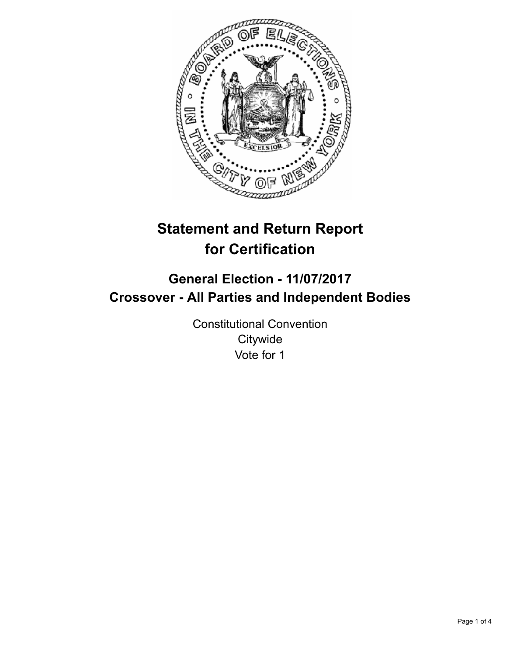

# **Statement and Return Report for Certification**

## **General Election - 11/07/2017 Crossover - All Parties and Independent Bodies**

Constitutional Convention **Citywide** Vote for 1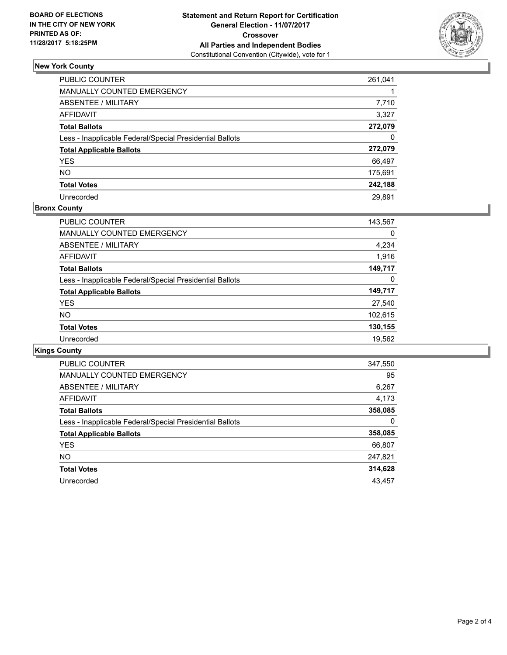

## **New York County**

| <b>PUBLIC COUNTER</b>                                    | 261,041 |
|----------------------------------------------------------|---------|
| <b>MANUALLY COUNTED EMERGENCY</b>                        |         |
| ABSENTEE / MILITARY                                      | 7,710   |
| <b>AFFIDAVIT</b>                                         | 3,327   |
| <b>Total Ballots</b>                                     | 272,079 |
| Less - Inapplicable Federal/Special Presidential Ballots |         |
| <b>Total Applicable Ballots</b>                          | 272,079 |
| <b>YES</b>                                               | 66,497  |
| <b>NO</b>                                                | 175,691 |
| <b>Total Votes</b>                                       | 242,188 |
| Unrecorded                                               | 29.891  |

### **Bronx County**

| <b>PUBLIC COUNTER</b>                                    | 143,567 |
|----------------------------------------------------------|---------|
| MANUALLY COUNTED EMERGENCY                               | 0       |
| ABSENTEE / MILITARY                                      | 4,234   |
| AFFIDAVIT                                                | 1,916   |
| <b>Total Ballots</b>                                     | 149,717 |
| Less - Inapplicable Federal/Special Presidential Ballots | 0       |
| <b>Total Applicable Ballots</b>                          | 149,717 |
| <b>YES</b>                                               | 27,540  |
| <b>NO</b>                                                | 102,615 |
| <b>Total Votes</b>                                       | 130,155 |
| Unrecorded                                               | 19,562  |

## **Kings County**

| <b>PUBLIC COUNTER</b>                                    | 347,550 |
|----------------------------------------------------------|---------|
| <b>MANUALLY COUNTED EMERGENCY</b>                        | 95      |
| <b>ABSENTEE / MILITARY</b>                               | 6,267   |
| <b>AFFIDAVIT</b>                                         | 4,173   |
| <b>Total Ballots</b>                                     | 358,085 |
| Less - Inapplicable Federal/Special Presidential Ballots | 0       |
| <b>Total Applicable Ballots</b>                          | 358,085 |
| <b>YES</b>                                               | 66,807  |
| NO.                                                      | 247,821 |
| <b>Total Votes</b>                                       | 314,628 |
| Unrecorded                                               | 43.457  |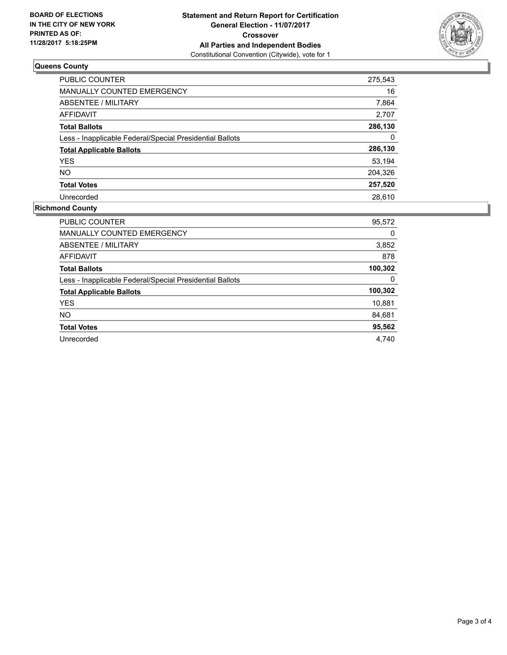

## **Queens County**

| PUBLIC COUNTER                                           | 275,543 |
|----------------------------------------------------------|---------|
| <b>MANUALLY COUNTED EMERGENCY</b>                        | 16      |
| ABSENTEE / MILITARY                                      | 7,864   |
| AFFIDAVIT                                                | 2,707   |
| <b>Total Ballots</b>                                     | 286,130 |
| Less - Inapplicable Federal/Special Presidential Ballots | 0       |
| <b>Total Applicable Ballots</b>                          | 286,130 |
| <b>YES</b>                                               | 53,194  |
| NO.                                                      | 204,326 |
| <b>Total Votes</b>                                       | 257,520 |
| Unrecorded                                               | 28.610  |

## **Richmond County**

| <b>PUBLIC COUNTER</b>                                    | 95,572  |
|----------------------------------------------------------|---------|
| <b>MANUALLY COUNTED EMERGENCY</b>                        | 0       |
| ABSENTEE / MILITARY                                      | 3,852   |
| AFFIDAVIT                                                | 878     |
| <b>Total Ballots</b>                                     | 100,302 |
| Less - Inapplicable Federal/Special Presidential Ballots | 0       |
| <b>Total Applicable Ballots</b>                          | 100,302 |
| <b>YES</b>                                               | 10,881  |
| NO.                                                      | 84,681  |
| <b>Total Votes</b>                                       | 95,562  |
|                                                          |         |